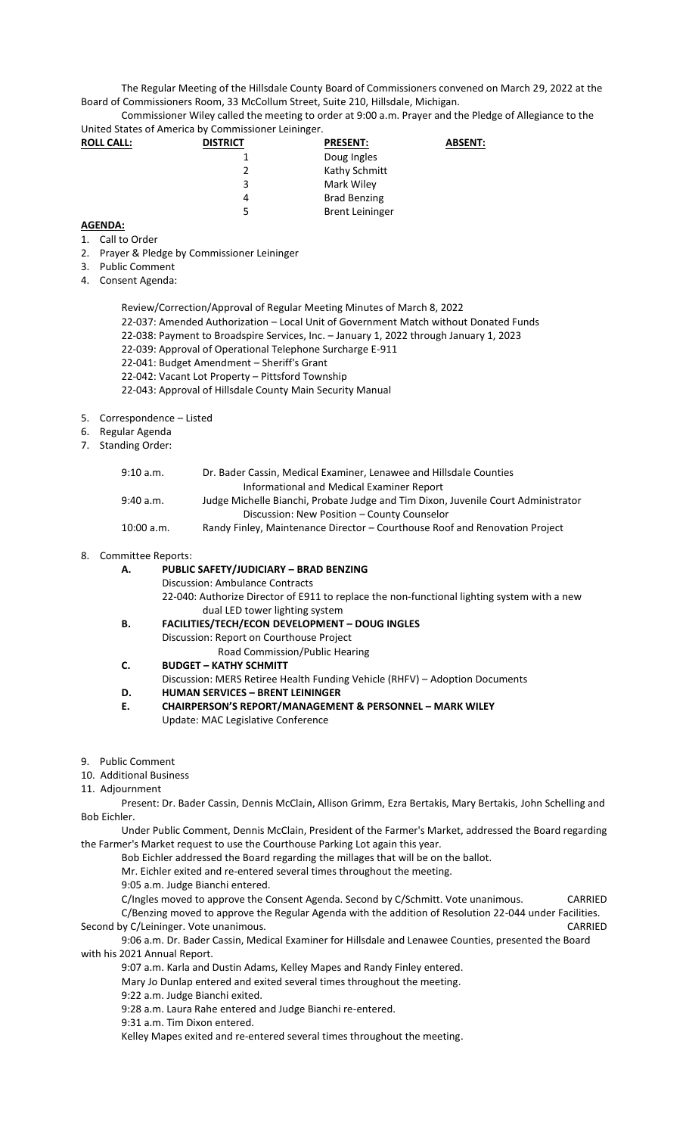The Regular Meeting of the Hillsdale County Board of Commissioners convened on March 29, 2022 at the Board of Commissioners Room, 33 McCollum Street, Suite 210, Hillsdale, Michigan.

Commissioner Wiley called the meeting to order at 9:00 a.m. Prayer and the Pledge of Allegiance to the United States of America by Commissioner Leininger.

| <b>ROLL CALL:</b> | <b>DISTRICT</b> | <b>PRESENT:</b>        | <b>ABSENT:</b> |
|-------------------|-----------------|------------------------|----------------|
|                   |                 | Doug Ingles            |                |
|                   | 2               | Kathy Schmitt          |                |
|                   | 3               | Mark Wiley             |                |
|                   | 4               | <b>Brad Benzing</b>    |                |
|                   | 5               | <b>Brent Leininger</b> |                |

## **AGENDA:**

- 1. Call to Order
- 2. Prayer & Pledge by Commissioner Leininger
- 3. Public Comment
- 4. Consent Agenda:
	- Review/Correction/Approval of Regular Meeting Minutes of March 8, 2022 22-037: Amended Authorization – Local Unit of Government Match without Donated Funds 22-038: Payment to Broadspire Services, Inc. – January 1, 2022 through January 1, 2023 22-039: Approval of Operational Telephone Surcharge E-911 22-041: Budget Amendment – Sheriff's Grant 22-042: Vacant Lot Property – Pittsford Township 22-043: Approval of Hillsdale County Main Security Manual
- 5. Correspondence Listed
- 6. Regular Agenda
- 7. Standing Order:

| 9:10 a.m.  | Dr. Bader Cassin, Medical Examiner, Lenawee and Hillsdale Counties                |
|------------|-----------------------------------------------------------------------------------|
|            | Informational and Medical Examiner Report                                         |
| 9:40 a.m.  | Judge Michelle Bianchi, Probate Judge and Tim Dixon, Juvenile Court Administrator |
|            | Discussion: New Position – County Counselor                                       |
| 10:00 a.m. | Randy Finley, Maintenance Director – Courthouse Roof and Renovation Project       |

## 8. Committee Reports:

## **A. PUBLIC SAFETY/JUDICIARY – BRAD BENZING**

Discussion: Ambulance Contracts

22-040: Authorize Director of E911 to replace the non-functional lighting system with a new dual LED tower lighting system

- **B. FACILITIES/TECH/ECON DEVELOPMENT – DOUG INGLES** Discussion: Report on Courthouse Project Road Commission/Public Hearing
- **C. BUDGET – KATHY SCHMITT**
- Discussion: MERS Retiree Health Funding Vehicle (RHFV) Adoption Documents
- **D. HUMAN SERVICES – BRENT LEININGER**
- **E. CHAIRPERSON'S REPORT/MANAGEMENT & PERSONNEL – MARK WILEY** Update: MAC Legislative Conference
- 9. Public Comment
- 10. Additional Business

## 11. Adjournment

Present: Dr. Bader Cassin, Dennis McClain, Allison Grimm, Ezra Bertakis, Mary Bertakis, John Schelling and Bob Eichler.

Under Public Comment, Dennis McClain, President of the Farmer's Market, addressed the Board regarding the Farmer's Market request to use the Courthouse Parking Lot again this year.

Bob Eichler addressed the Board regarding the millages that will be on the ballot.

Mr. Eichler exited and re-entered several times throughout the meeting.

9:05 a.m. Judge Bianchi entered.

C/Ingles moved to approve the Consent Agenda. Second by C/Schmitt. Vote unanimous. CARRIED C/Benzing moved to approve the Regular Agenda with the addition of Resolution 22-044 under Facilities. Second by C/Leininger. Vote unanimous. CARRIED CARRIED

9:06 a.m. Dr. Bader Cassin, Medical Examiner for Hillsdale and Lenawee Counties, presented the Board with his 2021 Annual Report.

9:07 a.m. Karla and Dustin Adams, Kelley Mapes and Randy Finley entered.

Mary Jo Dunlap entered and exited several times throughout the meeting.

9:22 a.m. Judge Bianchi exited.

9:28 a.m. Laura Rahe entered and Judge Bianchi re-entered.

9:31 a.m. Tim Dixon entered.

Kelley Mapes exited and re-entered several times throughout the meeting.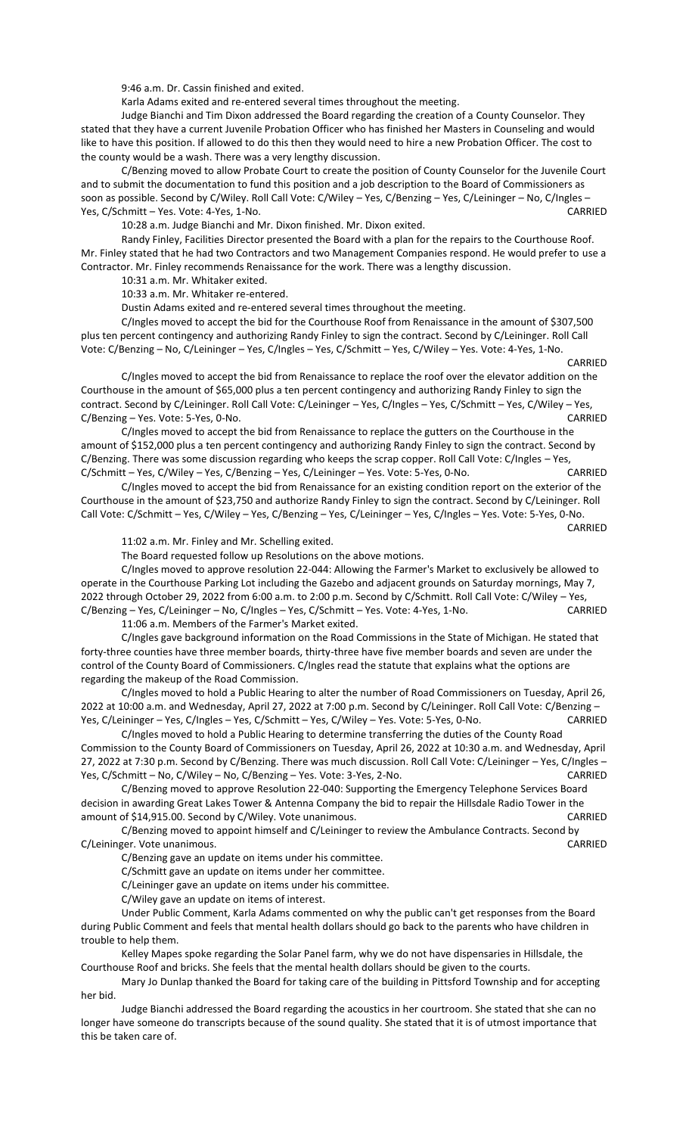9:46 a.m. Dr. Cassin finished and exited.

Karla Adams exited and re-entered several times throughout the meeting.

Judge Bianchi and Tim Dixon addressed the Board regarding the creation of a County Counselor. They stated that they have a current Juvenile Probation Officer who has finished her Masters in Counseling and would like to have this position. If allowed to do this then they would need to hire a new Probation Officer. The cost to the county would be a wash. There was a very lengthy discussion.

C/Benzing moved to allow Probate Court to create the position of County Counselor for the Juvenile Court and to submit the documentation to fund this position and a job description to the Board of Commissioners as soon as possible. Second by C/Wiley. Roll Call Vote: C/Wiley – Yes, C/Benzing – Yes, C/Leininger – No, C/Ingles – Yes, C/Schmitt – Yes. Vote: 4-Yes, 1-No. CARRIED

10:28 a.m. Judge Bianchi and Mr. Dixon finished. Mr. Dixon exited.

Randy Finley, Facilities Director presented the Board with a plan for the repairs to the Courthouse Roof. Mr. Finley stated that he had two Contractors and two Management Companies respond. He would prefer to use a Contractor. Mr. Finley recommends Renaissance for the work. There was a lengthy discussion.

10:31 a.m. Mr. Whitaker exited.

10:33 a.m. Mr. Whitaker re-entered.

Dustin Adams exited and re-entered several times throughout the meeting.

C/Ingles moved to accept the bid for the Courthouse Roof from Renaissance in the amount of \$307,500 plus ten percent contingency and authorizing Randy Finley to sign the contract. Second by C/Leininger. Roll Call Vote: C/Benzing – No, C/Leininger – Yes, C/Ingles – Yes, C/Schmitt – Yes, C/Wiley – Yes. Vote: 4-Yes, 1-No.

CARRIED

C/Ingles moved to accept the bid from Renaissance to replace the roof over the elevator addition on the Courthouse in the amount of \$65,000 plus a ten percent contingency and authorizing Randy Finley to sign the contract. Second by C/Leininger. Roll Call Vote: C/Leininger - Yes, C/Ingles - Yes, C/Schmitt - Yes, C/Wiley - Yes, C/Benzing – Yes. Vote: 5-Yes, 0-No. CARRIED

C/Ingles moved to accept the bid from Renaissance to replace the gutters on the Courthouse in the amount of \$152,000 plus a ten percent contingency and authorizing Randy Finley to sign the contract. Second by C/Benzing. There was some discussion regarding who keeps the scrap copper. Roll Call Vote: C/Ingles – Yes, C/Schmitt – Yes, C/Wiley – Yes, C/Benzing – Yes, C/Leininger – Yes. Vote: 5-Yes, 0-No. CARRIED

C/Ingles moved to accept the bid from Renaissance for an existing condition report on the exterior of the Courthouse in the amount of \$23,750 and authorize Randy Finley to sign the contract. Second by C/Leininger. Roll Call Vote: C/Schmitt – Yes, C/Wiley – Yes, C/Benzing – Yes, C/Leininger – Yes, C/Ingles – Yes. Vote: 5-Yes, 0-No.

CARRIED

11:02 a.m. Mr. Finley and Mr. Schelling exited.

The Board requested follow up Resolutions on the above motions.

C/Ingles moved to approve resolution 22-044: Allowing the Farmer's Market to exclusively be allowed to operate in the Courthouse Parking Lot including the Gazebo and adjacent grounds on Saturday mornings, May 7, 2022 through October 29, 2022 from 6:00 a.m. to 2:00 p.m. Second by C/Schmitt. Roll Call Vote: C/Wiley – Yes, C/Benzing – Yes, C/Leininger – No, C/Ingles – Yes, C/Schmitt – Yes. Vote: 4-Yes, 1-No. CARRIED

11:06 a.m. Members of the Farmer's Market exited.

C/Ingles gave background information on the Road Commissions in the State of Michigan. He stated that forty-three counties have three member boards, thirty-three have five member boards and seven are under the control of the County Board of Commissioners. C/Ingles read the statute that explains what the options are regarding the makeup of the Road Commission.

C/Ingles moved to hold a Public Hearing to alter the number of Road Commissioners on Tuesday, April 26, 2022 at 10:00 a.m. and Wednesday, April 27, 2022 at 7:00 p.m. Second by C/Leininger. Roll Call Vote: C/Benzing – Yes, C/Leininger – Yes, C/Ingles – Yes, C/Schmitt – Yes, C/Wiley – Yes. Vote: 5-Yes, 0-No. CARRIED

C/Ingles moved to hold a Public Hearing to determine transferring the duties of the County Road Commission to the County Board of Commissioners on Tuesday, April 26, 2022 at 10:30 a.m. and Wednesday, April 27, 2022 at 7:30 p.m. Second by C/Benzing. There was much discussion. Roll Call Vote: C/Leininger – Yes, C/Ingles – Yes, C/Schmitt – No, C/Wiley – No, C/Benzing – Yes. Vote: 3-Yes, 2-No. CARRIED

C/Benzing moved to approve Resolution 22-040: Supporting the Emergency Telephone Services Board decision in awarding Great Lakes Tower & Antenna Company the bid to repair the Hillsdale Radio Tower in the amount of \$14,915.00. Second by C/Wiley. Vote unanimous. The contract of the CARRIED

C/Benzing moved to appoint himself and C/Leininger to review the Ambulance Contracts. Second by C/Leininger. Vote unanimous. CARRIED

C/Benzing gave an update on items under his committee.

C/Schmitt gave an update on items under her committee.

C/Leininger gave an update on items under his committee.

C/Wiley gave an update on items of interest.

Under Public Comment, Karla Adams commented on why the public can't get responses from the Board during Public Comment and feels that mental health dollars should go back to the parents who have children in trouble to help them.

Kelley Mapes spoke regarding the Solar Panel farm, why we do not have dispensaries in Hillsdale, the Courthouse Roof and bricks. She feels that the mental health dollars should be given to the courts.

Mary Jo Dunlap thanked the Board for taking care of the building in Pittsford Township and for accepting her bid.

Judge Bianchi addressed the Board regarding the acoustics in her courtroom. She stated that she can no longer have someone do transcripts because of the sound quality. She stated that it is of utmost importance that this be taken care of.